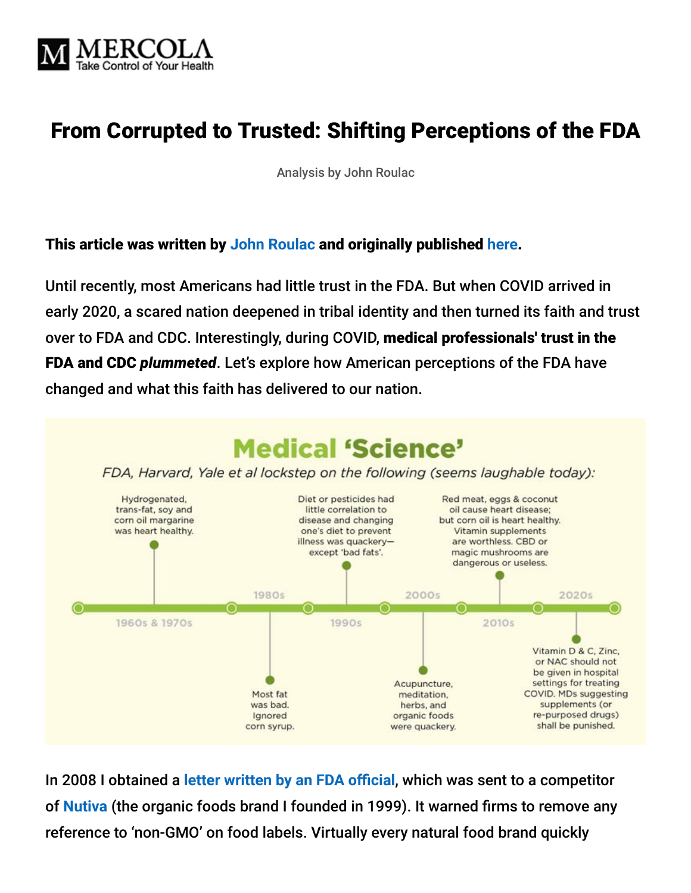

# From Corrupted to Trusted: Shifting Perceptions of the FDA

Analysis by John Roulac

#### This article was written by **[John Roulac](https://johnroulac.com/bio/)** and originally published **[here](https://johnroulac.substack.com/p/americas-fda-perceptions)**.

Until recently, most Americans had little trust in the FDA. But when COVID arrived in early 2020, a scared nation deepened in tribal identity and then turned its faith and trust over to FDA and CDC. Interestingly, during COVID, medical professionals' trust in the FDA and CDC *plummeted*. Let's explore how American perceptions of the FDA have changed and what this faith has delivered to our nation.



In 2008 I obtained a **[letter written by an FDA official](https://www.newhope.com/legislation-amp-regulation/fda-warns-natural-foods-companies-about-non-gmo-labels%20)**, which was sent to a competitor of **[Nutiva](https://www.nutiva.com/)** (the organic foods brand I founded in 1999). It warned firms to remove any reference to 'non-GMO' on food labels. Virtually every natural food brand quickly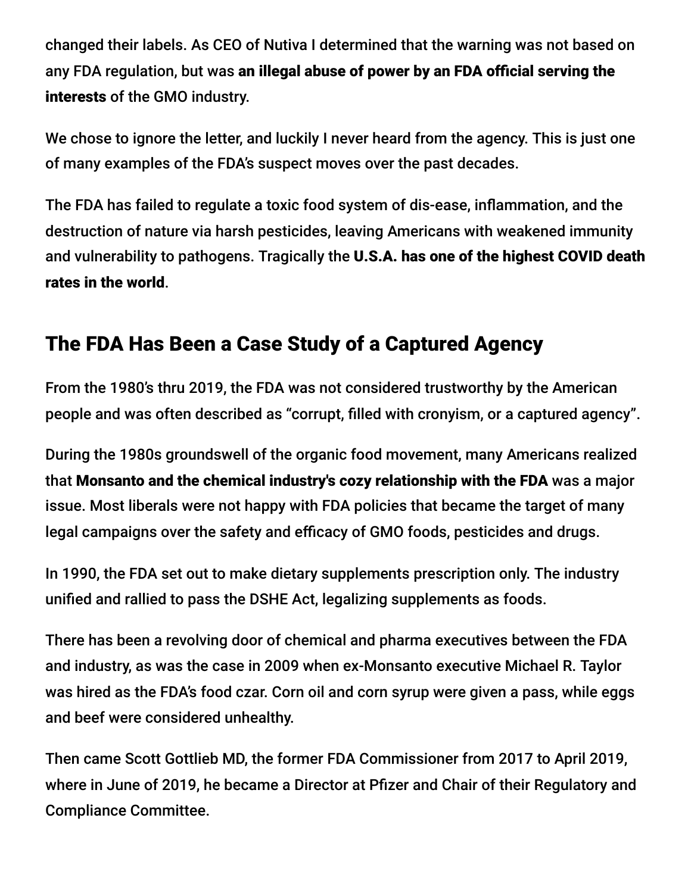changed their labels. As CEO of Nutiva I determined that the warning was not based on any FDA regulation, but was an illegal abuse of power by an FDA official serving the interests of the GMO industry.

We chose to ignore the letter, and luckily I never heard from the agency. This is just one of many examples of the FDA's suspect moves over the past decades.

The FDA has failed to regulate a toxic food system of dis-ease, inflammation, and the destruction of nature via harsh pesticides, leaving Americans with weakened immunity and vulnerability to pathogens. Tragically the U.S.A. has one of the highest COVID death rates in the world.

#### The FDA Has Been a Case Study of a Captured Agency

From the 1980's thru 2019, the FDA was not considered trustworthy by the American people and was often described as "corrupt, filled with cronyism, or a captured agency".

During the 1980s groundswell of the organic food movement, many Americans realized that Monsanto and the chemical industry's cozy relationship with the FDA was a major issue. Most liberals were not happy with FDA policies that became the target of many legal campaigns over the safety and efficacy of GMO foods, pesticides and drugs.

In 1990, the FDA set out to make dietary supplements prescription only. The industry unified and rallied to pass the DSHE Act, legalizing supplements as foods.

There has been a revolving door of chemical and pharma executives between the FDA and industry, as was the case in 2009 when ex-Monsanto executive Michael R. Taylor was hired as the FDA's food czar. Corn oil and corn syrup were given a pass, while eggs and beef were considered unhealthy.

Then came Scott Gottlieb MD, the former FDA Commissioner from 2017 to April 2019, where in June of 2019, he became a Director at Pfizer and Chair of their Regulatory and Compliance Committee.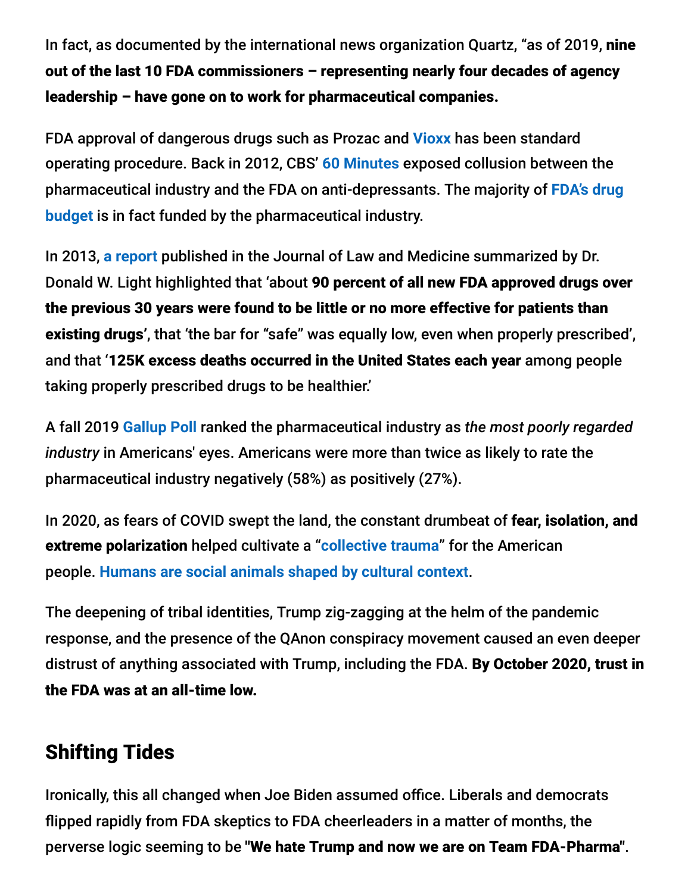In fact, as documented by the international news organization Quartz, "as of 2019, nine out of the last 10 FDA commissioners – representing nearly four decades of agency leadership – have gone on to work for pharmaceutical companies.

FDA approval of dangerous drugs such as Prozac and **[Vioxx](https://www.ucsusa.org/resources/merck-manipulated-science-about-drug-vioxx)** has been standard operating procedure. Back in 2012, CBS' **[60 Minutes](https://www.baumhedlundlaw.com/blog/2012/march/60-minutes-report-antidepressants-the-emperor-ha/)** exposed collusion between the [pharmaceutical industry and the FDA on anti-depressants. The majority of](https://www.forbes.com/sites/johnlamattina/2018/06/28/the-biopharmaceutical-industry-provides-75-of-the-fdas-drug-review-budget-is-this-a-problem/?sh=100c16e849ec) **FDA's drug budget** is in fact funded by the pharmaceutical industry.

In 2013, **[a report](https://ethics.harvard.edu/blog/risky-drugs-why-fda-cannot-be-trusted)** published in the Journal of Law and Medicine summarized by Dr. Donald W. Light highlighted that 'about 90 percent of all new FDA approved drugs over the previous 30 years were found to be little or no more effective for patients than existing drugs', that 'the bar for "safe" was equally low, even when properly prescribed', and that '125K excess deaths occurred in the United States each year among people taking properly prescribed drugs to be healthier.'

A fall 2019 **[Gallup Poll](https://news.gallup.com/poll/266060/big-pharma-sinks-bottom-industry-rankings.aspx)** ranked the pharmaceutical industry as *the most poorly regarded industry* in Americans' eyes. Americans were more than twice as likely to rate the pharmaceutical industry negatively (58%) as positively (27%).

In 2020, as fears of COVID swept the land, the constant drumbeat of fear, isolation, and extreme polarization helped cultivate a "**[collective trauma](https://www.nbcnews.com/health/health-news/collective-trauma-new-report-details-effects-stress-america-2020-n1260451)**" for the American people. **[Humans are social animals shaped by cultural context](https://en.wikipedia.org/wiki/Indoctrination)**.

The deepening of tribal identities, Trump zig-zagging at the helm of the pandemic response, and the presence of the QAnon conspiracy movement caused an even deeper distrust of anything associated with Trump, including the FDA. By October 2020, trust in the FDA was at an all-time low.

#### Shifting Tides

Ironically, this all changed when Joe Biden assumed office. Liberals and democrats flipped rapidly from FDA skeptics to FDA cheerleaders in a matter of months, the perverse logic seeming to be "We hate Trump and now we are on Team FDA-Pharma".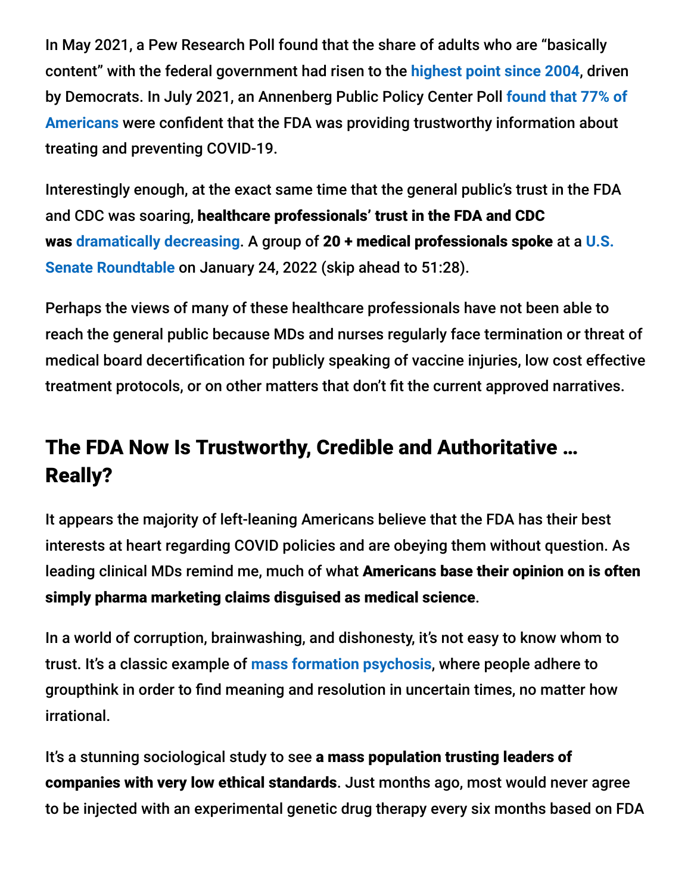In May 2021, a Pew Research Poll found that the share of adults who are "basically content" with the federal government had risen to the **[highest point since 2004](https://www.pewresearch.org/topic/politics-policy/trust-in-government/)**, driven by Democrats. In July 2021, an Annenberg Public Policy Center Poll **found that 77% of Americans** [were confident that the FDA was providing trustworthy information about](https://www.annenbergpublicpolicycenter.org/public-trust-in-cdc-fda-and-fauci-holds-steady-survey-shows/) treating and preventing COVID-19.

Interestingly enough, at the exact same time that the general public's trust in the FDA and CDC was soaring, healthcare professionals' trust in the FDA and CDC was **[dramatically decreasing](https://www.webmd.com/lung/news/20210609/trust-in-cdc-fda-took-a-beating-during-pandemic)**. A group of 20 + medical professionals spoke at a **U.S. Senate Roundtable** [on January 24, 2022 \(skip ahead to 51:28\).](https://rumble.com/vt62y6-covid-19-a-second-opinion.html)

Perhaps the views of many of these healthcare professionals have not been able to reach the general public because MDs and nurses regularly face termination or threat of medical board decertification for publicly speaking of vaccine injuries, low cost effective treatment protocols, or on other matters that don't fit the current approved narratives.

# The FDA Now Is Trustworthy, Credible and Authoritative … Really?

It appears the majority of left-leaning Americans believe that the FDA has their best interests at heart regarding COVID policies and are obeying them without question. As leading clinical MDs remind me, much of what Americans base their opinion on is often simply pharma marketing claims disguised as medical science.

In a world of corruption, brainwashing, and dishonesty, it's not easy to know whom to trust. It's a classic example of **[mass formation psychosis](https://www.youtube.com/watch?v=IqPJiM5Ir3A&t=277s)**, where people adhere to groupthink in order to find meaning and resolution in uncertain times, no matter how irrational.

It's a stunning sociological study to see a mass population trusting leaders of companies with very low ethical standards. Just months ago, most would never agree to be injected with an experimental genetic drug therapy every six months based on FDA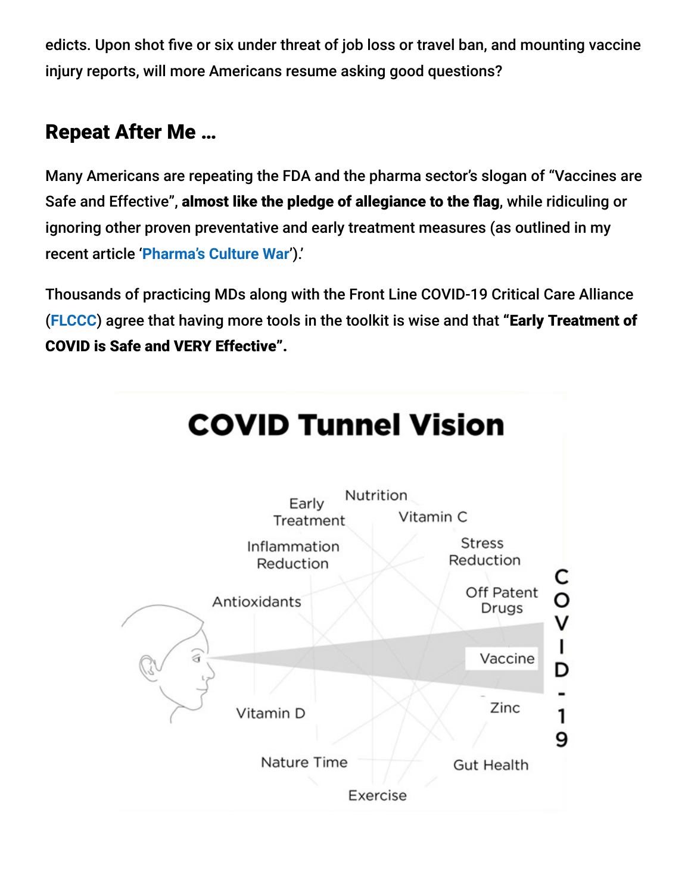edicts. Upon shot five or six under threat of job loss or travel ban, and mounting vaccine injury reports, will more Americans resume asking good questions?

# Repeat After Me …

Many Americans are repeating the FDA and the pharma sector's slogan of "Vaccines are Safe and Effective", almost like the pledge of allegiance to the flag, while ridiculing or ignoring other proven preventative and early treatment measures (as outlined in my recent article '**[Pharma's Culture War](https://johnroulac.substack.com/p/pharmas-culture-war)**').'

Thousands of practicing MDs along with the Front Line COVID-19 Critical Care Alliance (**[FLCCC](https://covid19criticalcare.com/)**) agree that having more tools in the toolkit is wise and that "Early Treatment of COVID is Safe and VERY Effective".

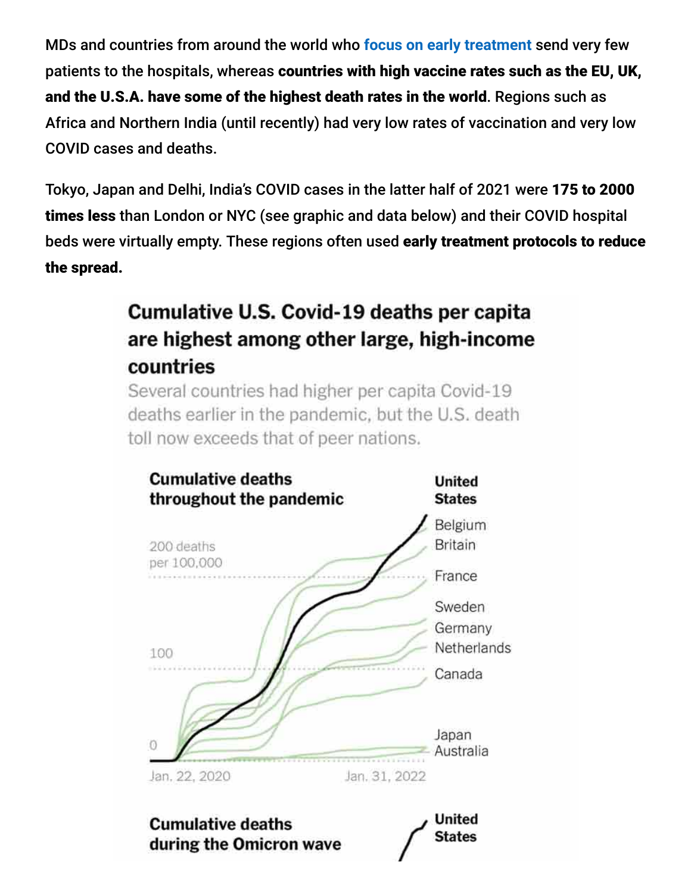MDs and countries from around the world who **[focus on early treatment](https://johnroulac.substack.com/p/pharmas-culture-war)** send very few patients to the hospitals, whereas countries with high vaccine rates such as the EU, UK, and the U.S.A. have some of the highest death rates in the world. Regions such as Africa and Northern India (until recently) had very low rates of vaccination and very low COVID cases and deaths.

Tokyo, Japan and Delhi, India's COVID cases in the latter half of 2021 were 175 to 2000 times less than London or NYC (see graphic and data below) and their COVID hospital beds were virtually empty. These regions often used early treatment protocols to reduce the spread.

# Cumulative U.S. Covid-19 deaths per capita are highest among other large, high-income countries

Several countries had higher per capita Covid-19 deaths earlier in the pandemic, but the U.S. death toll now exceeds that of peer nations.

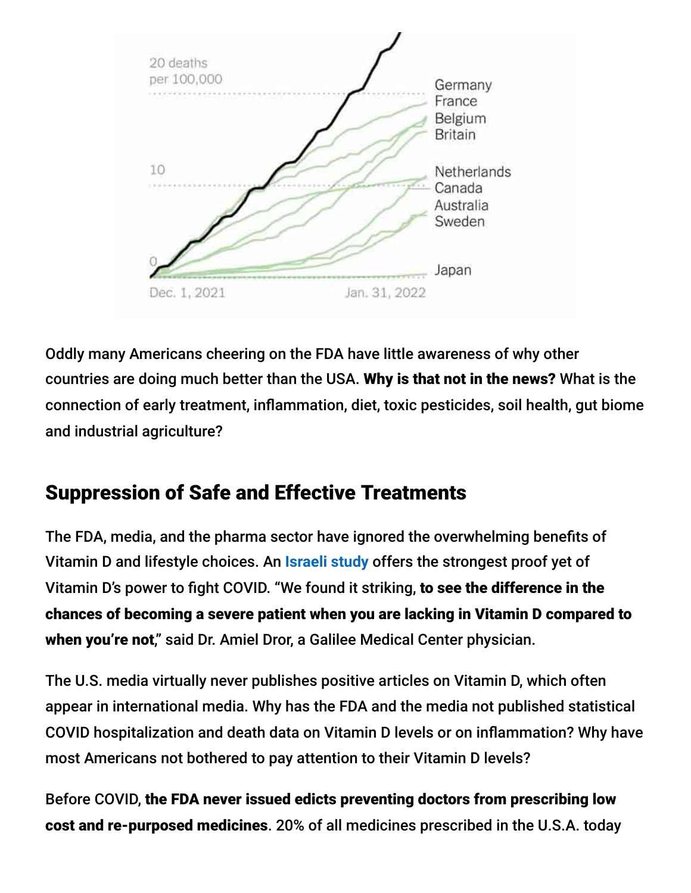

Oddly many Americans cheering on the FDA have little awareness of why other countries are doing much better than the USA. Why is that not in the news? What is the connection of early treatment, inflammation, diet, toxic pesticides, soil health, gut biome and industrial agriculture?

# Suppression of Safe and Effective Treatments

The FDA, media, and the pharma sector have ignored the overwhelming benefits of Vitamin D and lifestyle choices. An **[Israeli study](https://www.timesofisrael.com/israeli-study-offers-strongest-proof-yet-of-vitamin-ds-power-to-fight-covid/)** offers the strongest proof yet of Vitamin D's power to fight COVID. "We found it striking, to see the difference in the chances of becoming a severe patient when you are lacking in Vitamin D compared to when you're not," said Dr. Amiel Dror, a Galilee Medical Center physician.

The U.S. media virtually never publishes positive articles on Vitamin D, which often appear in international media. Why has the FDA and the media not published statistical COVID hospitalization and death data on Vitamin D levels or on inflammation? Why have most Americans not bothered to pay attention to their Vitamin D levels?

Before COVID, the FDA never issued edicts preventing doctors from prescribing low cost and re-purposed medicines. 20% of all medicines prescribed in the U.S.A. today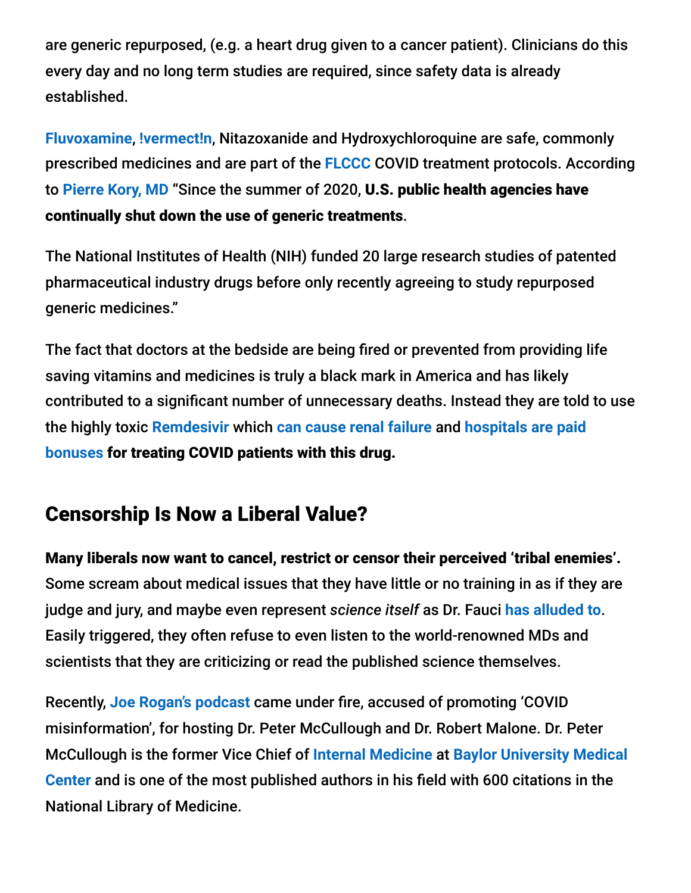are generic repurposed, (e.g. a heart drug given to a cancer patient). Clinicians do this every day and no long term studies are required, since safety data is already established.

**[Fluvoxamine](https://pierrekory.substack.com/p/the-alphabet-health-agencies-ignoring?r=3srel&utm_campaign=post&utm_medium=web&utm_source=direct)**, **[!vermect!n](https://ivmmeta.com/)**, Nitazoxanide and Hydroxychloroquine are safe, commonly prescribed medicines and are part of the **[FLCCC](https://covid19criticalcare.com/)** COVID treatment protocols. According to **[Pierre Kory, MD](https://pierrekory.substack.com/p/the-alphabet-health-agencies-ignoring)** "Since the summer of 2020, U.S. public health agencies have continually shut down the use of generic treatments.

The National Institutes of Health (NIH) funded 20 large research studies of patented pharmaceutical industry drugs before only recently agreeing to study repurposed generic medicines."

The fact that doctors at the bedside are being fired or prevented from providing life saving vitamins and medicines is truly a black mark in America and has likely contributed to a significant number of unnecessary deaths. Instead they are told to use the highly toxic **[Remdesivir](https://rumble.com/vtoi5z-ron-johnson-hearings-volume-7-.html)** which **[can cause renal failure](https://pubmed.ncbi.nlm.nih.gov/33340409/)** and **hospitals are paid bonuses** [for treating COVID patients with this drug.](https://rumble.com/vtoi5z-ron-johnson-hearings-volume-7-.html)

#### Censorship Is Now a Liberal Value?

Many liberals now want to cancel, restrict or censor their perceived 'tribal enemies'. Some scream about medical issues that they have little or no training in as if they are judge and jury, and maybe even represent *science itself* as Dr. Fauci **[has alluded to](https://www.forbes.com/sites/carlieporterfield/2021/06/09/fauci-on-gop-criticism-attacks-on-me-quite-frankly-are-attacks-on-science/?sh=6e0132ab4542)**. Easily triggered, they often refuse to even listen to the world-renowned MDs and scientists that they are criticizing or read the published science themselves.

Recently, **[Joe Rogan's podcast](http://podcasts.joerogan.net/)** came under fire, accused of promoting 'COVID misinformation', for hosting Dr. Peter McCullough and Dr. Robert Malone. Dr. Peter McCullough is the former Vice Chief of **[Internal Medicine](https://en.wikipedia.org/wiki/Internal_Medicine)** at **Baylor University Medical Center** [and is one of the most published authors in his field with 600 citations in the](https://en.wikipedia.org/wiki/Baylor_University_Medical_Center) National Library of Medicine.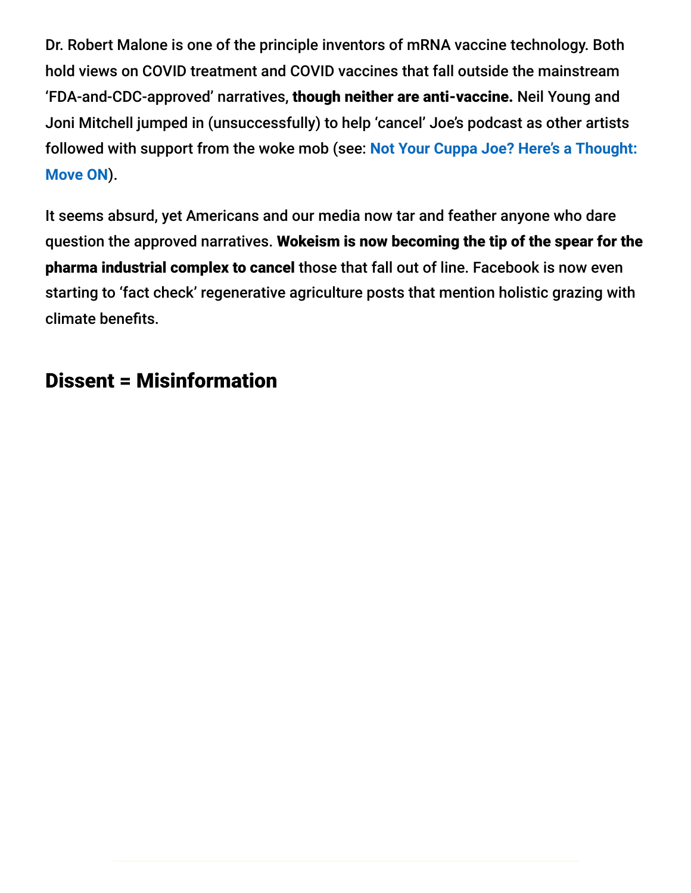Dr. Robert Malone is one of the principle inventors of mRNA vaccine technology. Both hold views on COVID treatment and COVID vaccines that fall outside the mainstream 'FDA-and-CDC-approved' narratives, though neither are anti-vaccine. Neil Young and Joni Mitchell jumped in (unsuccessfully) to help 'cancel' Joe's podcast as other artists [followed with support from the woke mob \(see:](https://jennamccarthy.com/not-your-cuppa-joe/) **Not Your Cuppa Joe? Here's a Thought: Move ON**).

It seems absurd, yet Americans and our media now tar and feather anyone who dare question the approved narratives. Wokeism is now becoming the tip of the spear for the pharma industrial complex to cancel those that fall out of line. Facebook is now even starting to 'fact check' regenerative agriculture posts that mention holistic grazing with climate benefits.

## Dissent = Misinformation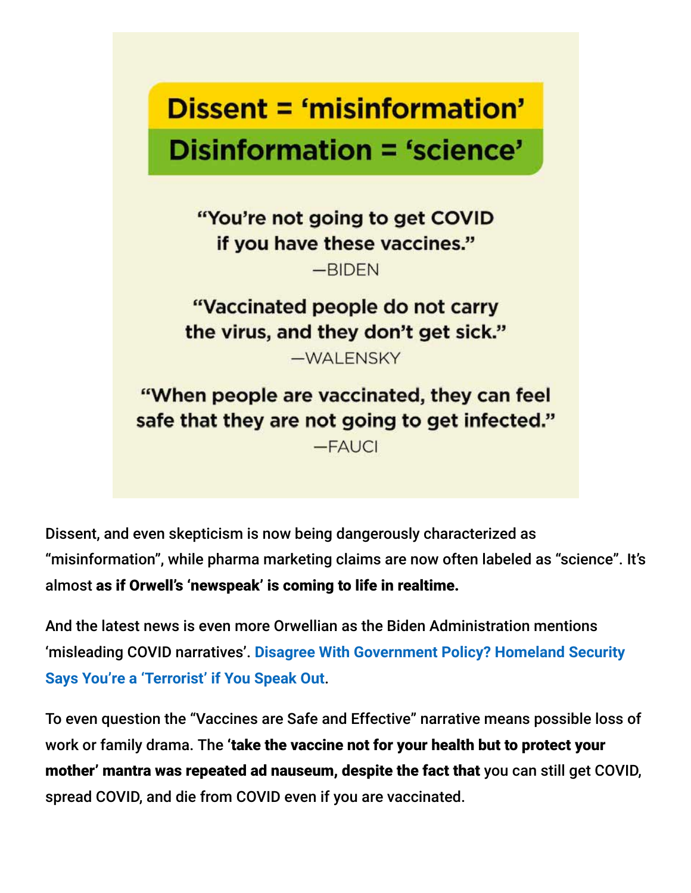# Dissent = 'misinformation' Disinformation = 'science'

"You're not going to get COVID if you have these vaccines."  $-RIDFN$ 

"Vaccinated people do not carry the virus, and they don't get sick."

-WALENSKY

"When people are vaccinated, they can feel safe that they are not going to get infected."  $-FAUCI$ 

Dissent, and even skepticism is now being dangerously characterized as "misinformation", while pharma marketing claims are now often labeled as "science". It's almost as if Orwell's 'newspeak' is coming to life in realtime.

And the latest news is even more Orwellian as the Biden Administration mentions 'misleading COVID narratives'. **[Disagree With Government Policy? Homeland Security](https://childrenshealthdefense.org/defender/homeland-security-terrorist-disagree-government-policy/) Says You're a 'Terrorist' if You Speak Out**.

To even question the "Vaccines are Safe and Effective" narrative means possible loss of work or family drama. The 'take the vaccine not for your health but to protect your mother' mantra was repeated ad nauseum, despite the fact that you can still get COVID, spread COVID, and die from COVID even if you are vaccinated.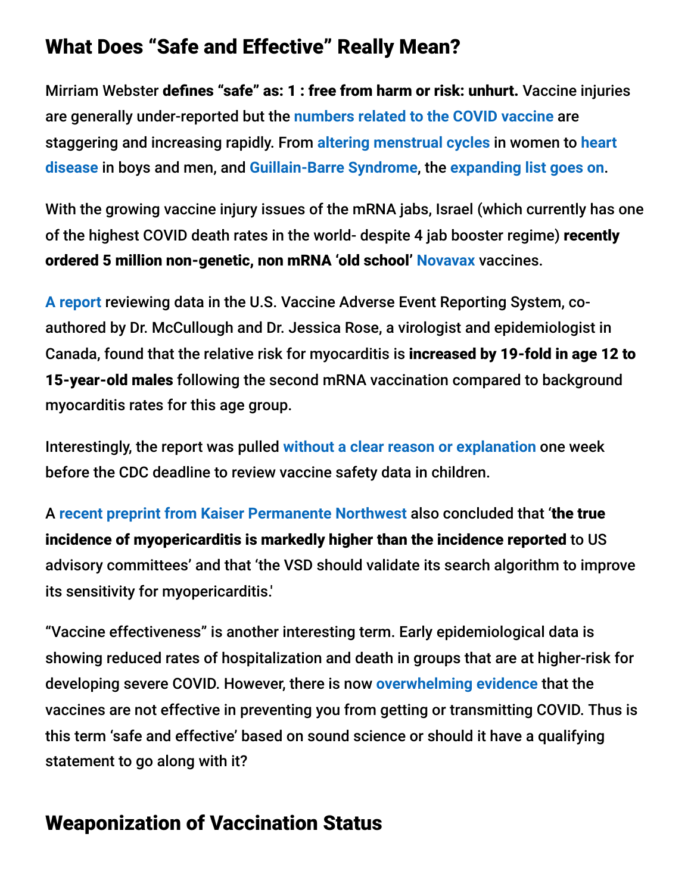#### What Does "Safe and Effective" Really Mean?

Mirriam Webster defines "safe" as: 1 : free from harm or risk: unhurt. Vaccine injuries are generally under-reported but the **[numbers related to the COVID vaccine](https://www.medalerts.org/vaersdb/findfield.php?TABLE=ON&GROUP1=CAT&EVENTS=ON&VAX=COVID19)** are [staggering and increasing rapidly. From](https://www.thedesertreview.com/opinion/columnists/beyond-ivermectin-censoring-medical-journals/article_b1089af2-4279-11ec-b491-5bcaf600d33c.html?utm_medium=social&utm_source=facebook&utm_campaign=user-share&fbclid=IwAR3KEceBm2-xs33i-17HDPV60sjoYPV4AD2q0lhmBG1WZ46t9H4JJe82nWI) **[altering menstrual cycles](https://www.wsj.com/articles/covid-19-vaccines-linked-to-menstrual-cycle-changes-11643902386)** in women to **heart disease** in boys and men, and **[Guillain-Barre Syndrome](https://wwwnc.cdc.gov/eid/article/27/12/21-1634_article)**, the **[expanding list goes on](https://vaers.hhs.gov/data.html)**.

With the growing vaccine injury issues of the mRNA jabs, Israel (which currently has one of the highest COVID death rates in the world- despite 4 jab booster regime) recently ordered 5 million non-genetic, non mRNA 'old school' **[Novavax](https://www.pharmaceutical-technology.com/news/novavax-israel-vaccine-deal/)** vaccines.

**[A report](https://jessicar.substack.com/p/a-report-on-myocarditis-adverse-events)** reviewing data in the U.S. Vaccine Adverse Event Reporting System, coauthored by Dr. McCullough and Dr. Jessica Rose, a virologist and epidemiologist in Canada, found that the relative risk for myocarditis is increased by 19-fold in age 12 to 15-year-old males following the second mRNA vaccination compared to background myocarditis rates for this age group.

Interestingly, the report was pulled **[without a clear reason or explanation](https://retractionwatch.com/2021/10/17/paper-linking-covid-19-vaccines-to-myocarditis-is-temporarily-removed-without-explanation/)** one week before the CDC deadline to review vaccine safety data in children.

A **[recent preprint from Kaiser Permanente Northwest](https://www.medrxiv.org/content/10.1101/2021.12.21.21268209v1)** also concluded that 'the true incidence of myopericarditis is markedly higher than the incidence reported to US advisory committees' and that 'the VSD should validate its search algorithm to improve its sensitivity for myopericarditis.'

"Vaccine effectiveness" is another interesting term. Early epidemiological data is showing reduced rates of hospitalization and death in groups that are at higher-risk for developing severe COVID. However, there is now **[overwhelming evidence](https://brownstone.org/articles/16-studies-on-vaccine-efficacy/)** that the vaccines are not effective in preventing you from getting or transmitting COVID. Thus is this term 'safe and effective' based on sound science or should it have a qualifying statement to go along with it?

# Weaponization of Vaccination Status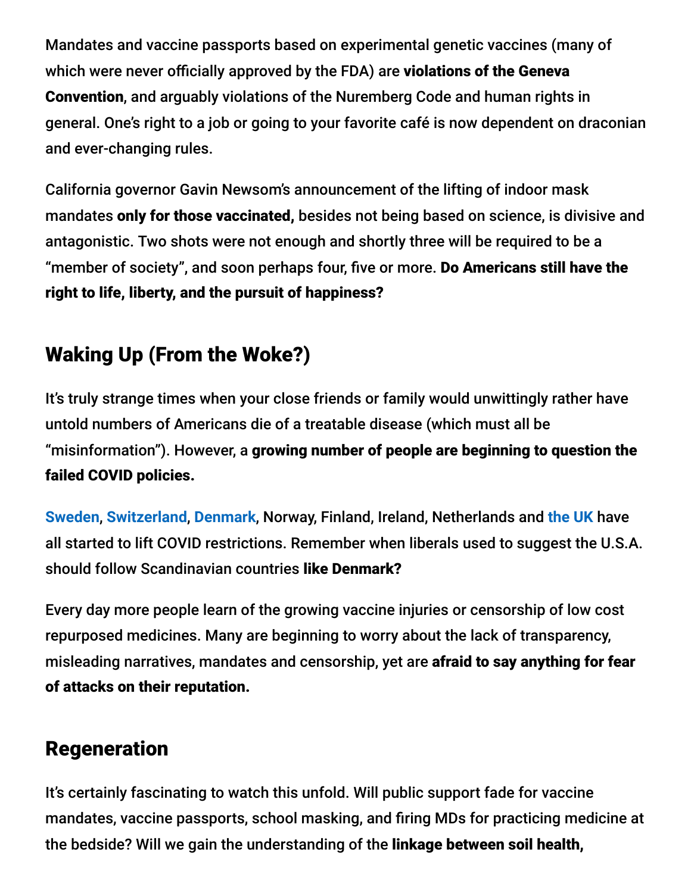Mandates and vaccine passports based on experimental genetic vaccines (many of which were never officially approved by the FDA) are violations of the Geneva Convention, and arguably violations of the Nuremberg Code and human rights in general. One's right to a job or going to your favorite café is now dependent on draconian and ever-changing rules.

California governor Gavin Newsom's announcement of the lifting of indoor mask mandates only for those vaccinated, besides not being based on science, is divisive and antagonistic. Two shots were not enough and shortly three will be required to be a "member of society", and soon perhaps four, five or more. Do Americans still have the right to life, liberty, and the pursuit of happiness?

# Waking Up (From the Woke?)

It's truly strange times when your close friends or family would unwittingly rather have untold numbers of Americans die of a treatable disease (which must all be "misinformation"). However, a growing number of people are beginning to question the failed COVID policies.

**[Sweden](https://www.nytimes.com/2022/02/03/world/europe/sweden-announces-end-covid-restrictions.html)**, **[Switzerland](https://www.reuters.com/world/europe/swiss-start-relaxing-pandemic-measures-2022-02-02/)**, **[Denmark](https://www.youtube.com/watch?v=x1w-EDsSv8A)**, Norway, Finland, Ireland, Netherlands and **[the UK](https://apnews.com/article/coronavirus-pandemic-boris-johnson-business-health-london-59417842d49e95ef556eb9b0352144dd)** have all started to lift COVID restrictions. Remember when liberals used to suggest the U.S.A. should follow Scandinavian countries like Denmark?

Every day more people learn of the growing vaccine injuries or censorship of low cost repurposed medicines. Many are beginning to worry about the lack of transparency, misleading narratives, mandates and censorship, yet are afraid to say anything for fear of attacks on their reputation.

#### Regeneration

It's certainly fascinating to watch this unfold. Will public support fade for vaccine mandates, vaccine passports, school masking, and firing MDs for practicing medicine at the bedside? Will we gain the understanding of the linkage between soil health,